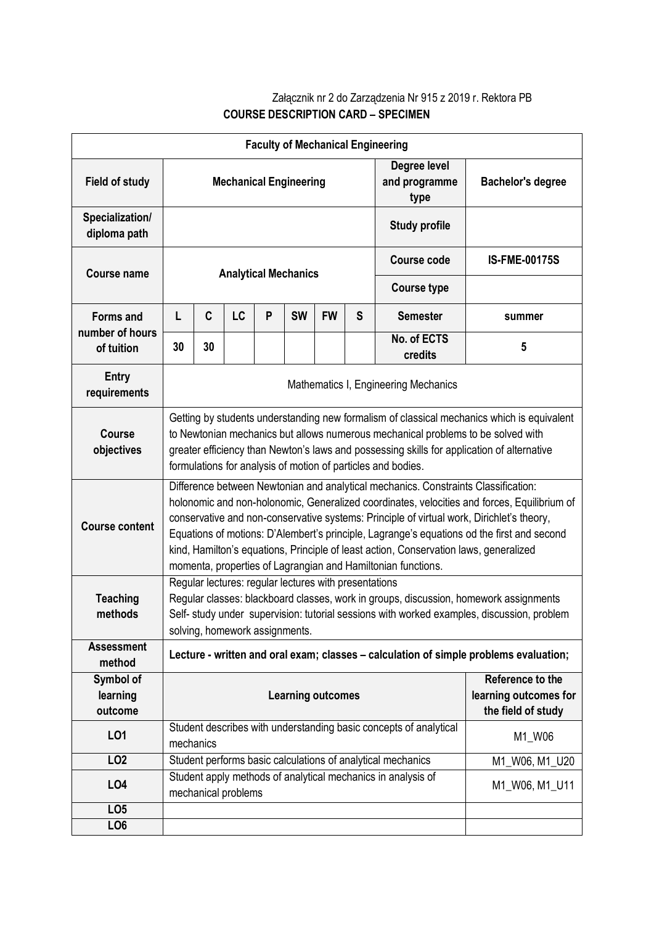## Załącznik nr 2 do Zarządzenia Nr 915 z 2019 r. Rektora PB **COURSE DESCRIPTION CARD – SPECIMEN**

| <b>Faculty of Mechanical Engineering</b> |                                                                                                                                                                                                                                                                                                                                                                                                                                                                                                                                       |    |    |   |                          |           |                                       |                                                                   |                                                                 |
|------------------------------------------|---------------------------------------------------------------------------------------------------------------------------------------------------------------------------------------------------------------------------------------------------------------------------------------------------------------------------------------------------------------------------------------------------------------------------------------------------------------------------------------------------------------------------------------|----|----|---|--------------------------|-----------|---------------------------------------|-------------------------------------------------------------------|-----------------------------------------------------------------|
| <b>Field of study</b>                    | <b>Mechanical Engineering</b>                                                                                                                                                                                                                                                                                                                                                                                                                                                                                                         |    |    |   |                          |           | Degree level<br>and programme<br>type | <b>Bachelor's degree</b>                                          |                                                                 |
| Specialization/<br>diploma path          |                                                                                                                                                                                                                                                                                                                                                                                                                                                                                                                                       |    |    |   |                          |           |                                       | <b>Study profile</b>                                              |                                                                 |
| <b>Course name</b>                       | <b>Analytical Mechanics</b>                                                                                                                                                                                                                                                                                                                                                                                                                                                                                                           |    |    |   |                          |           |                                       | <b>Course code</b>                                                | <b>IS-FME-00175S</b>                                            |
|                                          |                                                                                                                                                                                                                                                                                                                                                                                                                                                                                                                                       |    |    |   |                          |           |                                       | <b>Course type</b>                                                |                                                                 |
| <b>Forms and</b><br>number of hours      | L                                                                                                                                                                                                                                                                                                                                                                                                                                                                                                                                     | C  | LC | P | <b>SW</b>                | <b>FW</b> | S                                     | <b>Semester</b>                                                   | summer                                                          |
| of tuition                               | 30                                                                                                                                                                                                                                                                                                                                                                                                                                                                                                                                    | 30 |    |   |                          |           |                                       | No. of ECTS<br>credits                                            | 5                                                               |
| <b>Entry</b><br>requirements             | Mathematics I, Engineering Mechanics                                                                                                                                                                                                                                                                                                                                                                                                                                                                                                  |    |    |   |                          |           |                                       |                                                                   |                                                                 |
| <b>Course</b><br>objectives              | Getting by students understanding new formalism of classical mechanics which is equivalent<br>to Newtonian mechanics but allows numerous mechanical problems to be solved with<br>greater efficiency than Newton's laws and possessing skills for application of alternative<br>formulations for analysis of motion of particles and bodies.                                                                                                                                                                                          |    |    |   |                          |           |                                       |                                                                   |                                                                 |
| <b>Course content</b>                    | Difference between Newtonian and analytical mechanics. Constraints Classification:<br>holonomic and non-holonomic, Generalized coordinates, velocities and forces, Equilibrium of<br>conservative and non-conservative systems: Principle of virtual work, Dirichlet's theory,<br>Equations of motions: D'Alembert's principle, Lagrange's equations od the first and second<br>kind, Hamilton's equations, Principle of least action, Conservation laws, generalized<br>momenta, properties of Lagrangian and Hamiltonian functions. |    |    |   |                          |           |                                       |                                                                   |                                                                 |
| <b>Teaching</b><br>methods               | Regular lectures: regular lectures with presentations<br>Regular classes: blackboard classes, work in groups, discussion, homework assignments<br>Self- study under supervision: tutorial sessions with worked examples, discussion, problem<br>solving, homework assignments.                                                                                                                                                                                                                                                        |    |    |   |                          |           |                                       |                                                                   |                                                                 |
| <b>Assessment</b><br>method              | Lecture - written and oral exam; classes - calculation of simple problems evaluation;                                                                                                                                                                                                                                                                                                                                                                                                                                                 |    |    |   |                          |           |                                       |                                                                   |                                                                 |
| Symbol of<br>learning<br>outcome         |                                                                                                                                                                                                                                                                                                                                                                                                                                                                                                                                       |    |    |   | <b>Learning outcomes</b> |           |                                       |                                                                   | Reference to the<br>learning outcomes for<br>the field of study |
| LO1                                      | mechanics                                                                                                                                                                                                                                                                                                                                                                                                                                                                                                                             |    |    |   |                          |           |                                       | Student describes with understanding basic concepts of analytical | M1_W06                                                          |
| LO <sub>2</sub>                          |                                                                                                                                                                                                                                                                                                                                                                                                                                                                                                                                       |    |    |   |                          |           |                                       | Student performs basic calculations of analytical mechanics       | M1_W06, M1_U20                                                  |
| LO <sub>4</sub>                          | Student apply methods of analytical mechanics in analysis of<br>mechanical problems                                                                                                                                                                                                                                                                                                                                                                                                                                                   |    |    |   | M1_W06, M1_U11           |           |                                       |                                                                   |                                                                 |
| LO <sub>5</sub>                          |                                                                                                                                                                                                                                                                                                                                                                                                                                                                                                                                       |    |    |   |                          |           |                                       |                                                                   |                                                                 |
| LO <sub>6</sub>                          |                                                                                                                                                                                                                                                                                                                                                                                                                                                                                                                                       |    |    |   |                          |           |                                       |                                                                   |                                                                 |